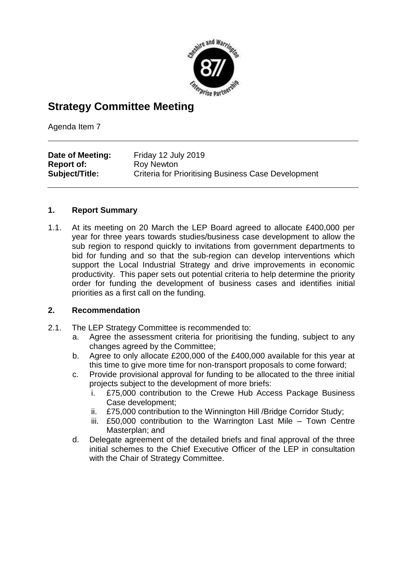

## **Strategy Committee Meeting**

Agenda Item 7

| Date of Meeting:  | Friday 12 July 2019                                        |
|-------------------|------------------------------------------------------------|
| <b>Report of:</b> | Roy Newton                                                 |
| Subject/Title:    | <b>Criteria for Prioritising Business Case Development</b> |

### **1. Report Summary**

1.1. At its meeting on 20 March the LEP Board agreed to allocate £400,000 per year for three years towards studies/business case development to allow the sub region to respond quickly to invitations from government departments to bid for funding and so that the sub-region can develop interventions which support the Local Industrial Strategy and drive improvements in economic productivity. This paper sets out potential criteria to help determine the priority order for funding the development of business cases and identifies initial priorities as a first call on the funding.

### **2. Recommendation**

- 2.1. The LEP Strategy Committee is recommended to:
	- a. Agree the assessment criteria for prioritising the funding, subject to any changes agreed by the Committee;
	- b. Agree to only allocate £200,000 of the £400,000 available for this year at this time to give more time for non-transport proposals to come forward;
	- c. Provide provisional approval for funding to be allocated to the three initial projects subject to the development of more briefs:
		- i. £75,000 contribution to the Crewe Hub Access Package Business Case development;
		- ii. £75,000 contribution to the Winnington Hill /Bridge Corridor Study;
		- iii. £50,000 contribution to the Warrington Last Mile Town Centre Masterplan; and
	- d. Delegate agreement of the detailed briefs and final approval of the three initial schemes to the Chief Executive Officer of the LEP in consultation with the Chair of Strategy Committee.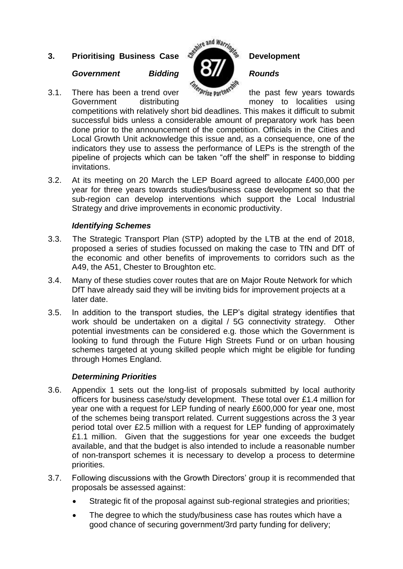# **3.** Prioritising Business Case  $S^{\text{split}}$  and Warringless Development

### *Government Bidding Rounds*

3.1. There has been a trend over  $\frac{w_{\text{e}}}{w_{\text{e}}}\text{erine}^{\text{e}}$  the past few years towards Government distributing money to localities using

competitions with relatively short bid deadlines. This makes it difficult to submit successful bids unless a considerable amount of preparatory work has been done prior to the announcement of the competition. Officials in the Cities and Local Growth Unit acknowledge this issue and, as a consequence, one of the indicators they use to assess the performance of LEPs is the strength of the pipeline of projects which can be taken "off the shelf" in response to bidding invitations.

3.2. At its meeting on 20 March the LEP Board agreed to allocate £400,000 per year for three years towards studies/business case development so that the sub-region can develop interventions which support the Local Industrial Strategy and drive improvements in economic productivity.

### *Identifying Schemes*

- 3.3. The Strategic Transport Plan (STP) adopted by the LTB at the end of 2018, proposed a series of studies focussed on making the case to TfN and DfT of the economic and other benefits of improvements to corridors such as the A49, the A51, Chester to Broughton etc.
- 3.4. Many of these studies cover routes that are on Major Route Network for which DfT have already said they will be inviting bids for improvement projects at a later date.
- 3.5. In addition to the transport studies, the LEP's digital strategy identifies that work should be undertaken on a digital / 5G connectivity strategy. Other potential investments can be considered e.g. those which the Government is looking to fund through the Future High Streets Fund or on urban housing schemes targeted at young skilled people which might be eligible for funding through Homes England.

### *Determining Priorities*

- 3.6. Appendix 1 sets out the long-list of proposals submitted by local authority officers for business case/study development. These total over £1.4 million for year one with a request for LEP funding of nearly £600,000 for year one, most of the schemes being transport related. Current suggestions across the 3 year period total over £2.5 million with a request for LEP funding of approximately £1.1 million. Given that the suggestions for year one exceeds the budget available, and that the budget is also intended to include a reasonable number of non-transport schemes it is necessary to develop a process to determine priorities.
- 3.7. Following discussions with the Growth Directors' group it is recommended that proposals be assessed against:
	- Strategic fit of the proposal against sub-regional strategies and priorities;
	- The degree to which the study/business case has routes which have a good chance of securing government/3rd party funding for delivery;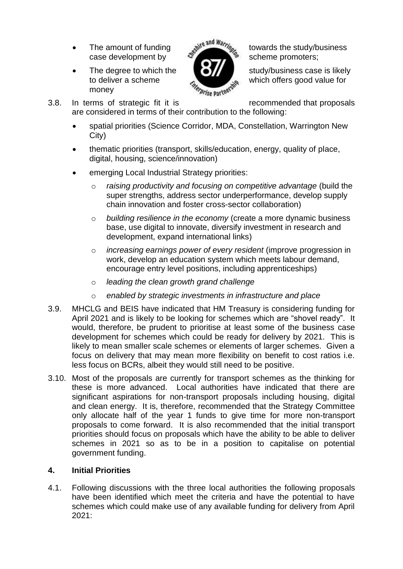- case development by  $\mathcal{S}$  scheme promoters;
- The degree to which the  $\bullet$   $\bullet$   $\bullet$   $\bullet$  study/business case is likely money



The amount of funding<br>case development by the study/business<br>case development by

to deliver a scheme which offers good value for

3.8. In terms of strategic fit it is recommended that proposals

are considered in terms of their contribution to the following:

- spatial priorities (Science Corridor, MDA, Constellation, Warrington New City)
- thematic priorities (transport, skills/education, energy, quality of place, digital, housing, science/innovation)
- emerging Local Industrial Strategy priorities:
	- o *raising productivity and focusing on competitive advantage* (build the super strengths, address sector underperformance, develop supply chain innovation and foster cross-sector collaboration)
	- o *building resilience in the economy* (create a more dynamic business base, use digital to innovate, diversify investment in research and development, expand international links)
	- o *increasing earnings power of every resident* (improve progression in work, develop an education system which meets labour demand, encourage entry level positions, including apprenticeships)
	- o *leading the clean growth grand challenge*
	- o *enabled by strategic investments in infrastructure and place*
- 3.9. MHCLG and BEIS have indicated that HM Treasury is considering funding for April 2021 and is likely to be looking for schemes which are "shovel ready". It would, therefore, be prudent to prioritise at least some of the business case development for schemes which could be ready for delivery by 2021. This is likely to mean smaller scale schemes or elements of larger schemes. Given a focus on delivery that may mean more flexibility on benefit to cost ratios i.e. less focus on BCRs, albeit they would still need to be positive.
- 3.10. Most of the proposals are currently for transport schemes as the thinking for these is more advanced. Local authorities have indicated that there are significant aspirations for non-transport proposals including housing, digital and clean energy. It is, therefore, recommended that the Strategy Committee only allocate half of the year 1 funds to give time for more non-transport proposals to come forward. It is also recommended that the initial transport priorities should focus on proposals which have the ability to be able to deliver schemes in 2021 so as to be in a position to capitalise on potential government funding.

### **4. Initial Priorities**

4.1. Following discussions with the three local authorities the following proposals have been identified which meet the criteria and have the potential to have schemes which could make use of any available funding for delivery from April 2021: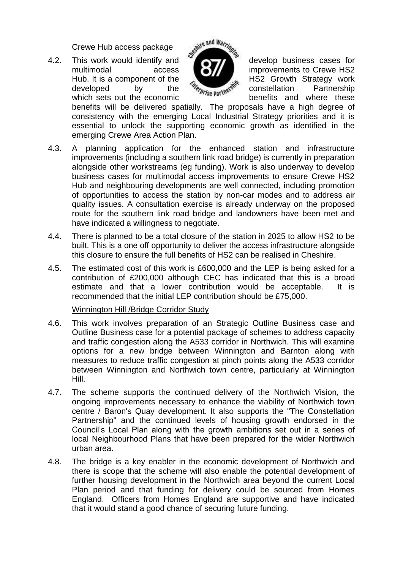Crewe Hub access package

multimodal access **interest improvements to Crewe HS2** Hub. It is a component of the  $\epsilon_{\text{Mep}}$  HS2 Growth Strategy work<br>developed by the  $\epsilon_{\text{Mep}}$  the partnership<br>benefite and where these developed by the *le constellation* Partnership which sets out the economic benefits and where these



benefits will be delivered spatially. The proposals have a high degree of consistency with the emerging Local Industrial Strategy priorities and it is essential to unlock the supporting economic growth as identified in the emerging Crewe Area Action Plan.

- 4.3. A planning application for the enhanced station and infrastructure improvements (including a southern link road bridge) is currently in preparation alongside other workstreams (eg funding). Work is also underway to develop business cases for multimodal access improvements to ensure Crewe HS2 Hub and neighbouring developments are well connected, including promotion of opportunities to access the station by non-car modes and to address air quality issues. A consultation exercise is already underway on the proposed route for the southern link road bridge and landowners have been met and have indicated a willingness to negotiate.
- 4.4. There is planned to be a total closure of the station in 2025 to allow HS2 to be built. This is a one off opportunity to deliver the access infrastructure alongside this closure to ensure the full benefits of HS2 can be realised in Cheshire.
- 4.5. The estimated cost of this work is £600,000 and the LEP is being asked for a contribution of £200,000 although CEC has indicated that this is a broad estimate and that a lower contribution would be acceptable. It is recommended that the initial LEP contribution should be £75,000.

### Winnington Hill /Bridge Corridor Study

- 4.6. This work involves preparation of an Strategic Outline Business case and Outline Business case for a potential package of schemes to address capacity and traffic congestion along the A533 corridor in Northwich. This will examine options for a new bridge between Winnington and Barnton along with measures to reduce traffic congestion at pinch points along the A533 corridor between Winnington and Northwich town centre, particularly at Winnington Hill.
- 4.7. The scheme supports the continued delivery of the Northwich Vision, the ongoing improvements necessary to enhance the viability of Northwich town centre / Baron's Quay development. It also supports the "The Constellation Partnership" and the continued levels of housing growth endorsed in the Council's Local Plan along with the growth ambitions set out in a series of local Neighbourhood Plans that have been prepared for the wider Northwich urban area.
- 4.8. The bridge is a key enabler in the economic development of Northwich and there is scope that the scheme will also enable the potential development of further housing development in the Northwich area beyond the current Local Plan period and that funding for delivery could be sourced from Homes England. Officers from Homes England are supportive and have indicated that it would stand a good chance of securing future funding.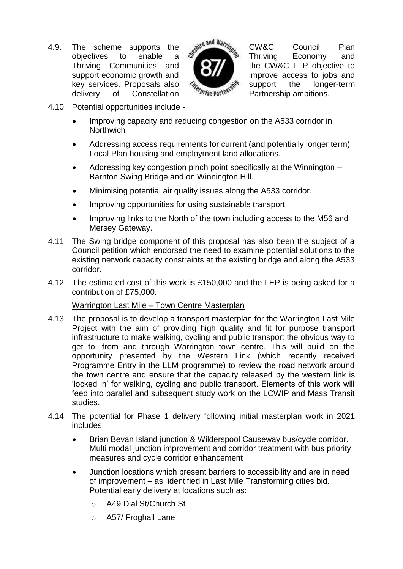4.9. The scheme supports the wi<sup>re and natric</sup> CW&C Council Plan Thriving Communities and **the CW&C LTP** objective to support economic growth and **improve** access to jobs and key services. Proposals also  $\frac{m_{\text{F}}}{m_{\text{F}}}\frac{m_{\text{F}}}{m_{\text{F}}}\frac{m_{\text{F}}}{m_{\text{F}}}$  support the longer-term ration rations. delivery of Constellation <sup>*Phise* partnership ambitions.</sup>



The scheme supports the seatile and Warring CW&C Council Plan<br>objectives to enable a seatile Thriving Economy and

- 4.10. Potential opportunities include
	- Improving capacity and reducing congestion on the A533 corridor in **Northwich**
	- Addressing access requirements for current (and potentially longer term) Local Plan housing and employment land allocations.
	- Addressing key congestion pinch point specifically at the Winnington Barnton Swing Bridge and on Winnington Hill.
	- Minimising potential air quality issues along the A533 corridor.
	- Improving opportunities for using sustainable transport.
	- Improving links to the North of the town including access to the M56 and Mersey Gateway.
- 4.11. The Swing bridge component of this proposal has also been the subject of a Council petition which endorsed the need to examine potential solutions to the existing network capacity constraints at the existing bridge and along the A533 corridor.
- 4.12. The estimated cost of this work is £150,000 and the LEP is being asked for a contribution of £75,000.

### Warrington Last Mile – Town Centre Masterplan

- 4.13. The proposal is to develop a transport masterplan for the Warrington Last Mile Project with the aim of providing high quality and fit for purpose transport infrastructure to make walking, cycling and public transport the obvious way to get to, from and through Warrington town centre. This will build on the opportunity presented by the Western Link (which recently received Programme Entry in the LLM programme) to review the road network around the town centre and ensure that the capacity released by the western link is 'locked in' for walking, cycling and public transport. Elements of this work will feed into parallel and subsequent study work on the LCWIP and Mass Transit studies.
- 4.14. The potential for Phase 1 delivery following initial masterplan work in 2021 includes:
	- Brian Bevan Island junction & Wilderspool Causeway bus/cycle corridor. Multi modal junction improvement and corridor treatment with bus priority measures and cycle corridor enhancement
	- Junction locations which present barriers to accessibility and are in need of improvement – as identified in Last Mile Transforming cities bid. Potential early delivery at locations such as:
		- o A49 Dial St/Church St
		- o A57/ Froghall Lane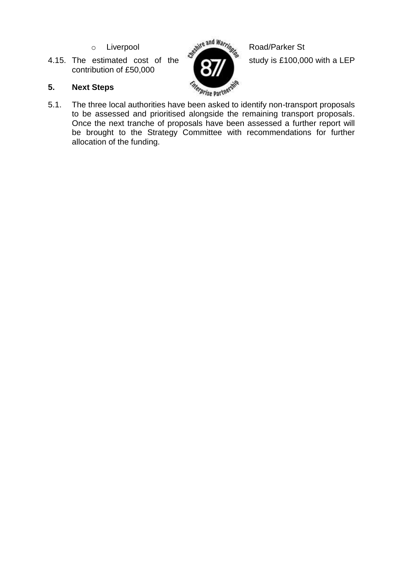- 
- 4.15. The estimated cost of the  $\sim$   $\sim$   $\sim$   $\sim$  study is £100,000 with a LEP contribution of £50,000



### **5. Next Steps**

5.1. The three local authorities have been asked to identify non-transport proposals to be assessed and prioritised alongside the remaining transport proposals. Once the next tranche of proposals have been assessed a further report will be brought to the Strategy Committee with recommendations for further allocation of the funding.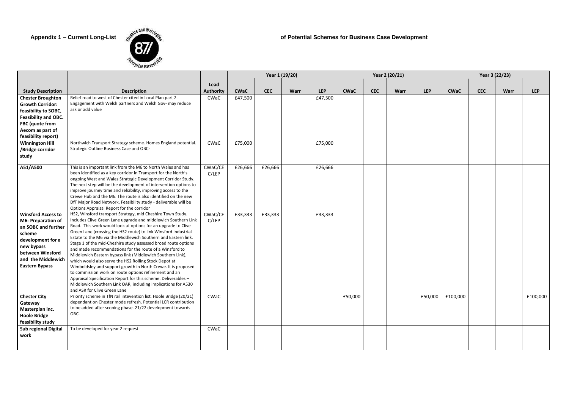

**Appendix 1 – Current Long-List** of Potential Schemes for Business Case Development

|                                                                                                                                                                                               |                                                                                                                                                                                                                                                                                                                                                                                                                                                                                                                                                                                                                                                                                                                                                                                                                                                                                     |                  | Year 1 (19/20) |            |             |            |             |            | Year 2 (20/21) |            | Year 3 (22/23) |            |             |            |
|-----------------------------------------------------------------------------------------------------------------------------------------------------------------------------------------------|-------------------------------------------------------------------------------------------------------------------------------------------------------------------------------------------------------------------------------------------------------------------------------------------------------------------------------------------------------------------------------------------------------------------------------------------------------------------------------------------------------------------------------------------------------------------------------------------------------------------------------------------------------------------------------------------------------------------------------------------------------------------------------------------------------------------------------------------------------------------------------------|------------------|----------------|------------|-------------|------------|-------------|------------|----------------|------------|----------------|------------|-------------|------------|
|                                                                                                                                                                                               |                                                                                                                                                                                                                                                                                                                                                                                                                                                                                                                                                                                                                                                                                                                                                                                                                                                                                     | Lead             |                |            |             |            |             |            |                |            |                |            |             |            |
| <b>Study Description</b>                                                                                                                                                                      | <b>Description</b>                                                                                                                                                                                                                                                                                                                                                                                                                                                                                                                                                                                                                                                                                                                                                                                                                                                                  | <b>Authority</b> | <b>CWaC</b>    | <b>CEC</b> | <b>Warr</b> | <b>LEP</b> | <b>CWaC</b> | <b>CEC</b> | <b>Warr</b>    | <b>LEP</b> | <b>CWaC</b>    | <b>CEC</b> | <b>Warr</b> | <b>LEP</b> |
| <b>Chester Broughton</b><br><b>Growth Corridor:</b><br>feasibility to SOBC,<br><b>Feasibility and OBC.</b><br>FBC (quote from<br>Aecom as part of<br>feasibility report)                      | Relief road to west of Chester cited in Local Plan part 2.<br>Engagement with Welsh partners and Welsh Gov- may reduce<br>ask or add value                                                                                                                                                                                                                                                                                                                                                                                                                                                                                                                                                                                                                                                                                                                                          | CWaC             | £47,500        |            |             | £47,500    |             |            |                |            |                |            |             |            |
| <b>Winnington Hill</b><br>/Bridge corridor<br>study                                                                                                                                           | Northwich Transport Strategy scheme. Homes England potential.<br>Strategic Outline Business Case and OBC-                                                                                                                                                                                                                                                                                                                                                                                                                                                                                                                                                                                                                                                                                                                                                                           | CWaC             | £75,000        |            |             | £75,000    |             |            |                |            |                |            |             |            |
| A51/A500                                                                                                                                                                                      | This is an important link from the M6 to North Wales and has<br>been identified as a key corridor in Transport for the North's<br>ongoing West and Wales Strategic Development Corridor Study.<br>The next step will be the development of intervention options to<br>improve journey time and reliability, improving access to the<br>Crewe Hub and the M6. The route is also identified on the new<br>DfT Major Road Network. Feasibility study - deliverable will be<br>Options Appraisal Report for the corridor                                                                                                                                                                                                                                                                                                                                                                | CWaC/CE<br>C/LEP | £26,666        | £26,666    |             | £26,666    |             |            |                |            |                |            |             |            |
| <b>Winsford Access to</b><br><b>M6- Preparation of</b><br>an SOBC and further<br>scheme<br>development for a<br>new bypass<br>between Winsford<br>and the Middlewich<br><b>Eastern Bypass</b> | HS2, Winsford transport Strategy, mid Cheshire Town Study.<br>Includes Clive Green Lane upgrade and middlewich Southern Link<br>Road. This work would look at options for an upgrade to Clive<br>Green Lane (crossing the HS2 route) to link Winsford Industrial<br>Estate to the M6 via the Middlewich Southern and Eastern link.<br>Stage 1 of the mid-Cheshire study assessed broad route options<br>and made recommendations for the route of a Winsford to<br>Middlewich Eastern bypass link (Middlewich Southern Link),<br>which would also serve the HS2 Rolling Stock Depot at<br>Wimboldsley and support growth in North Crewe. It is proposed<br>to commission work on route options refinement and an<br>Appraisal Specification Report for this scheme. Deliverables -<br>Middlewich Southern Link OAR, including implications for A530<br>and ASR for Clive Green Lane | CWaC/CE<br>C/LEP | £33,333        | £33,333    |             | £33,333    |             |            |                |            |                |            |             |            |
| <b>Chester City</b><br>Gateway<br>Masterplan inc.<br><b>Hoole Bridge</b><br>feasibility study                                                                                                 | Priority scheme in TfN rail intevention list. Hoole Bridge (20/21)<br>dependant on Chester mode refresh. Potential LCR contribution<br>to be added after scoping phase. 21/22 development towards<br>OBC.                                                                                                                                                                                                                                                                                                                                                                                                                                                                                                                                                                                                                                                                           | CWaC             |                |            |             |            | £50,000     |            |                | £50,000    | £100,000       |            |             | £100,000   |
| <b>Sub regional Digital</b><br>work                                                                                                                                                           | To be developed for year 2 request                                                                                                                                                                                                                                                                                                                                                                                                                                                                                                                                                                                                                                                                                                                                                                                                                                                  | CWaC             |                |            |             |            |             |            |                |            |                |            |             |            |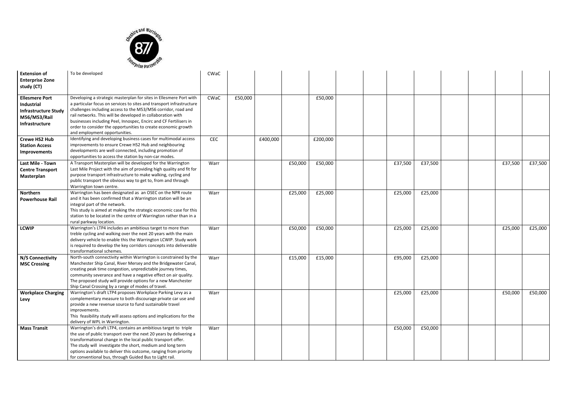

| <b>Extension of</b><br><b>Enterprise Zone</b><br>study (CT)                                          | To be developed                                                                                                                                                                                                                                                                                                                                                                                                                                   | CWaC       |         |          |         |          |  |         |         |  |         |         |
|------------------------------------------------------------------------------------------------------|---------------------------------------------------------------------------------------------------------------------------------------------------------------------------------------------------------------------------------------------------------------------------------------------------------------------------------------------------------------------------------------------------------------------------------------------------|------------|---------|----------|---------|----------|--|---------|---------|--|---------|---------|
| <b>Ellesmere Port</b><br>Industrial<br><b>Infrastructure Study</b><br>M56/M53/Rail<br>Infrastructure | Developing a strategic masterplan for sites in Ellesmere Port with<br>a particular focus on services to sites and transport infrastructure<br>challenges including access to the M53/M56 corridor, road and<br>rail networks. This will be developed in collaboration with<br>businesses including Peel, Innospec, Encirc and CF Fertilisers in<br>order to consider the opportunities to create economic growth<br>and employment opportunities. | CWaC       | £50,000 |          |         | £50,000  |  |         |         |  |         |         |
| <b>Crewe HS2 Hub</b><br><b>Station Access</b><br>Improvements                                        | Identifying and developing business cases for multimodal access<br>improvements to ensure Crewe HS2 Hub and neighbouring<br>developments are well connected, including promotion of<br>opportunities to access the station by non-car modes.                                                                                                                                                                                                      | <b>CEC</b> |         | £400,000 |         | £200,000 |  |         |         |  |         |         |
| Last Mile - Town<br><b>Centre Transport</b><br>Masterplan                                            | A Transport Masterplan will be developed for the Warrington<br>Last Mile Project with the aim of providing high quality and fit for<br>purpose transport infrastructure to make walking, cycling and<br>public transport the obvious way to get to, from and through<br>Warrington town centre.                                                                                                                                                   | Warr       |         |          | £50,000 | £50,000  |  | £37,500 | £37,500 |  | £37,500 | £37,500 |
| <b>Northern</b><br><b>Powerhouse Rail</b>                                                            | Warrington has been designated as an OSEC on the NPR route<br>and it has been confirmed that a Warrington station will be an<br>integral part of the network.<br>This study is aimed at making the strategic economic case for this<br>station to be located in the centre of Warrington rather than in a<br>rural parkway location.                                                                                                              | Warr       |         |          | £25,000 | £25,000  |  | £25,000 | £25,000 |  |         |         |
| <b>LCWIP</b>                                                                                         | Warrington's LTP4 includes an ambitious target to more than<br>treble cycling and walking over the next 20 years with the main<br>delivery vehicle to enable this the Warrington LCWIP. Study work<br>is required to develop the key corridors concepts into deliverable<br>transformational schemes.                                                                                                                                             | Warr       |         |          | £50,000 | £50,000  |  | £25,000 | £25,000 |  | £25,000 | £25,000 |
| N/S Connectivity<br><b>MSC Crossing</b>                                                              | North-south connectivity within Warrington is constrained by the<br>Manchester Ship Canal, River Mersey and the Bridgewater Canal,<br>creating peak time congestion, unpredictable journey times,<br>community severance and have a negative effect on air quality.<br>The proposed study will provide options for a new Manchester<br>Ship Canal Crossing by a range of modes of travel.                                                         | Warr       |         |          | £15,000 | £15,000  |  | £95,000 | £25,000 |  |         |         |
| <b>Workplace Charging</b><br>Levy                                                                    | Warrington's draft LTP4 proposes Workplace Parking Levy as a<br>complementary measure to both discourage private car use and<br>provide a new revenue source to fund sustainable travel<br>improvements.<br>This feasibility study will assess options and implications for the<br>delivery of WPL in Warrington.                                                                                                                                 | Warr       |         |          |         |          |  | £25,000 | £25,000 |  | £50,000 | £50,000 |
| <b>Mass Transit</b>                                                                                  | Warrington's draft LTP4, contains an ambitious target to triple<br>the use of public transport over the next 20 years by delivering a<br>transformational change in the local public transport offer.<br>The study will investigate the short, medium and long term<br>options available to deliver this outcome, ranging from priority<br>for conventional bus, through Guided Bus to Light rail.                                                | Warr       |         |          |         |          |  | £50,000 | £50,000 |  |         |         |